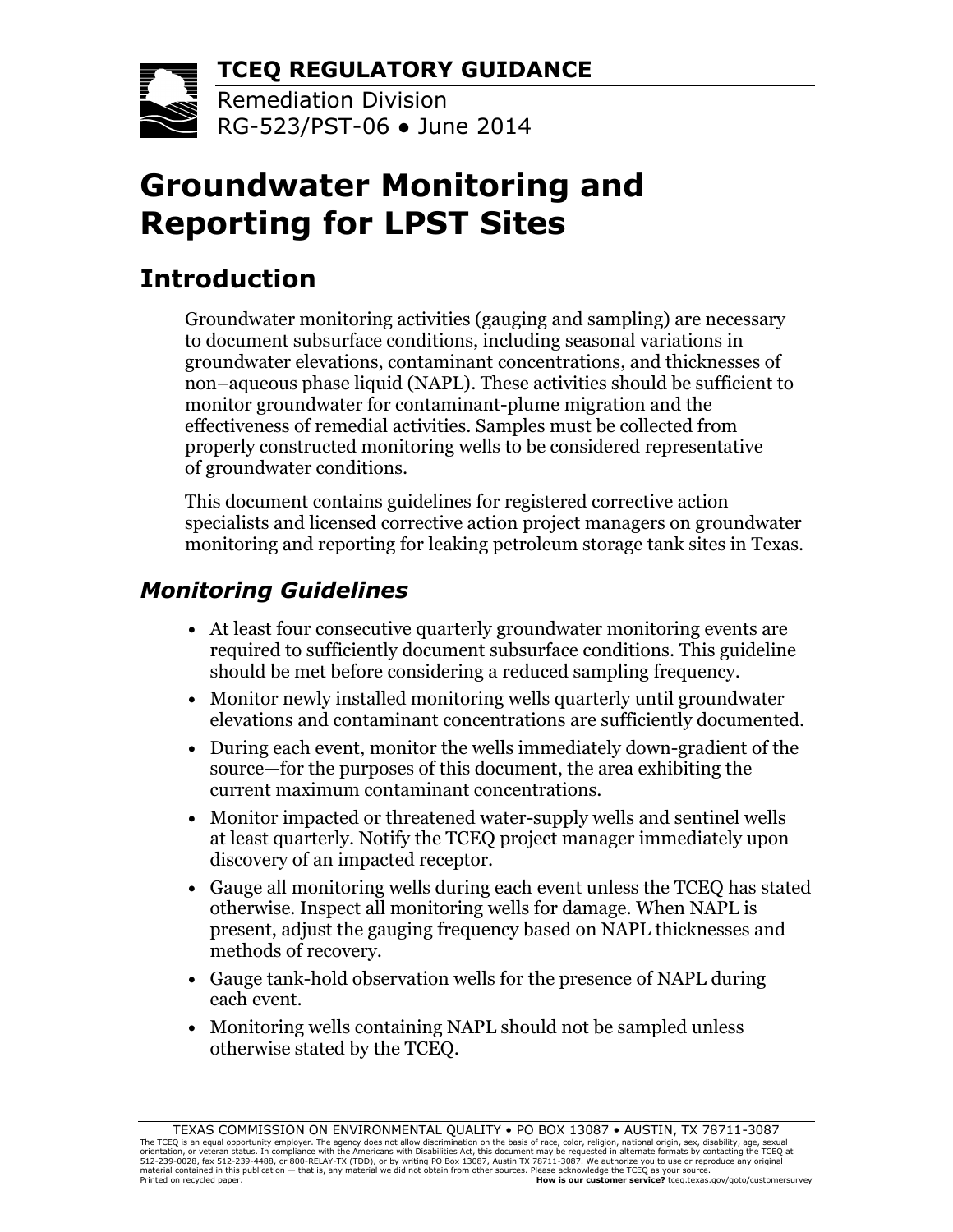**TCEQ REGULATORY GUIDANCE**



Remediation Division  $R$ Griff Rg-523/PST-06 • June 2014

# **Groundwater Monitoring and Reporting for LPST Sites**

## **Introduction**

Groundwater monitoring activities (gauging and sampling) are necessary to document subsurface conditions, including seasonal variations in groundwater elevations, contaminant concentrations, and thicknesses of non–aqueous phase liquid (NAPL). These activities should be sufficient to monitor groundwater for contaminant-plume migration and the effectiveness of remedial activities. Samples must be collected from properly constructed monitoring wells to be considered representative of groundwater conditions.

This document contains guidelines for registered corrective action specialists and licensed corrective action project managers on groundwater monitoring and reporting for leaking petroleum storage tank sites in Texas.

### *Monitoring Guidelines*

- At least four consecutive quarterly groundwater monitoring events are required to sufficiently document subsurface conditions. This guideline should be met before considering a reduced sampling frequency.
- Monitor newly installed monitoring wells quarterly until groundwater elevations and contaminant concentrations are sufficiently documented.
- During each event, monitor the wells immediately down-gradient of the source—for the purposes of this document, the area exhibiting the current maximum contaminant concentrations.
- Monitor impacted or threatened water-supply wells and sentinel wells at least quarterly. Notify the TCEQ project manager immediately upon discovery of an impacted receptor.
- Gauge all monitoring wells during each event unless the TCEQ has stated otherwise. Inspect all monitoring wells for damage. When NAPL is present, adjust the gauging frequency based on NAPL thicknesses and methods of recovery.
- Gauge tank-hold observation wells for the presence of NAPL during each event.
- Monitoring wells containing NAPL should not be sampled unless otherwise stated by the TCEQ.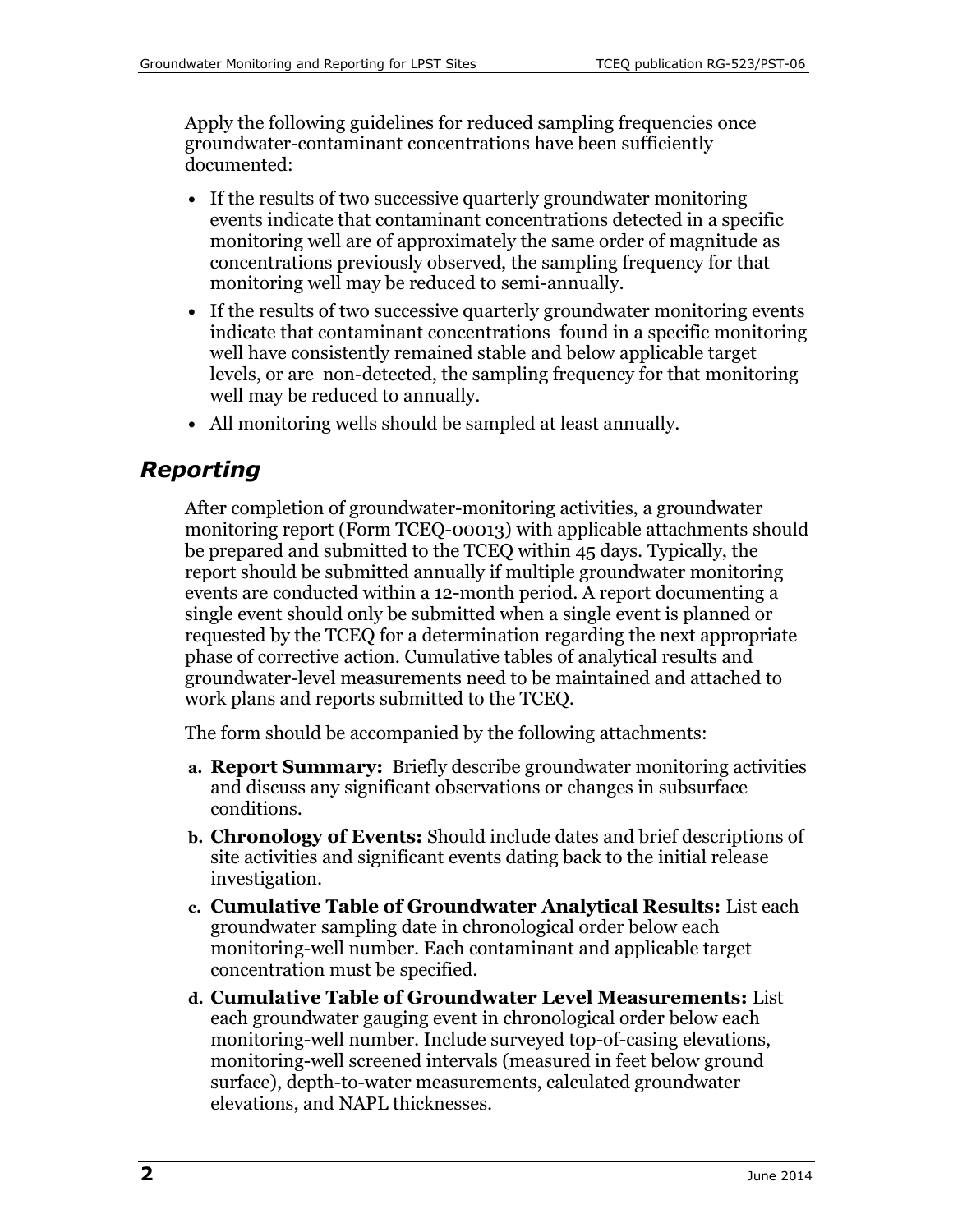Apply the following guidelines for reduced sampling frequencies once groundwater-contaminant concentrations have been sufficiently documented:

- If the results of two successive quarterly groundwater monitoring events indicate that contaminant concentrations detected in a specific monitoring well are of approximately the same order of magnitude as concentrations previously observed, the sampling frequency for that monitoring well may be reduced to semi-annually.
- If the results of two successive quarterly groundwater monitoring events indicate that contaminant concentrations found in a specific monitoring well have consistently remained stable and below applicable target levels, or are non-detected, the sampling frequency for that monitoring well may be reduced to annually.
- All monitoring wells should be sampled at least annually.

#### *Reporting*

After completion of groundwater-monitoring activities, a groundwater monitoring report (Form TCEQ-00013) with applicable attachments should be prepared and submitted to the TCEQ within 45 days. Typically, the report should be submitted annually if multiple groundwater monitoring events are conducted within a 12-month period. A report documenting a single event should only be submitted when a single event is planned or requested by the TCEQ for a determination regarding the next appropriate phase of corrective action. Cumulative tables of analytical results and groundwater-level measurements need to be maintained and attached to work plans and reports submitted to the TCEQ.

The form should be accompanied by the following attachments:

- **a. Report Summary:** Briefly describe groundwater monitoring activities and discuss any significant observations or changes in subsurface conditions.
- **b. Chronology of Events:** Should include dates and brief descriptions of site activities and significant events dating back to the initial release investigation.
- **c. Cumulative Table of Groundwater Analytical Results:** List each groundwater sampling date in chronological order below each monitoring-well number. Each contaminant and applicable target concentration must be specified.
- **d. Cumulative Table of Groundwater Level Measurements:** List each groundwater gauging event in chronological order below each monitoring-well number. Include surveyed top-of-casing elevations, monitoring-well screened intervals (measured in feet below ground surface), depth-to-water measurements, calculated groundwater elevations, and NAPL thicknesses.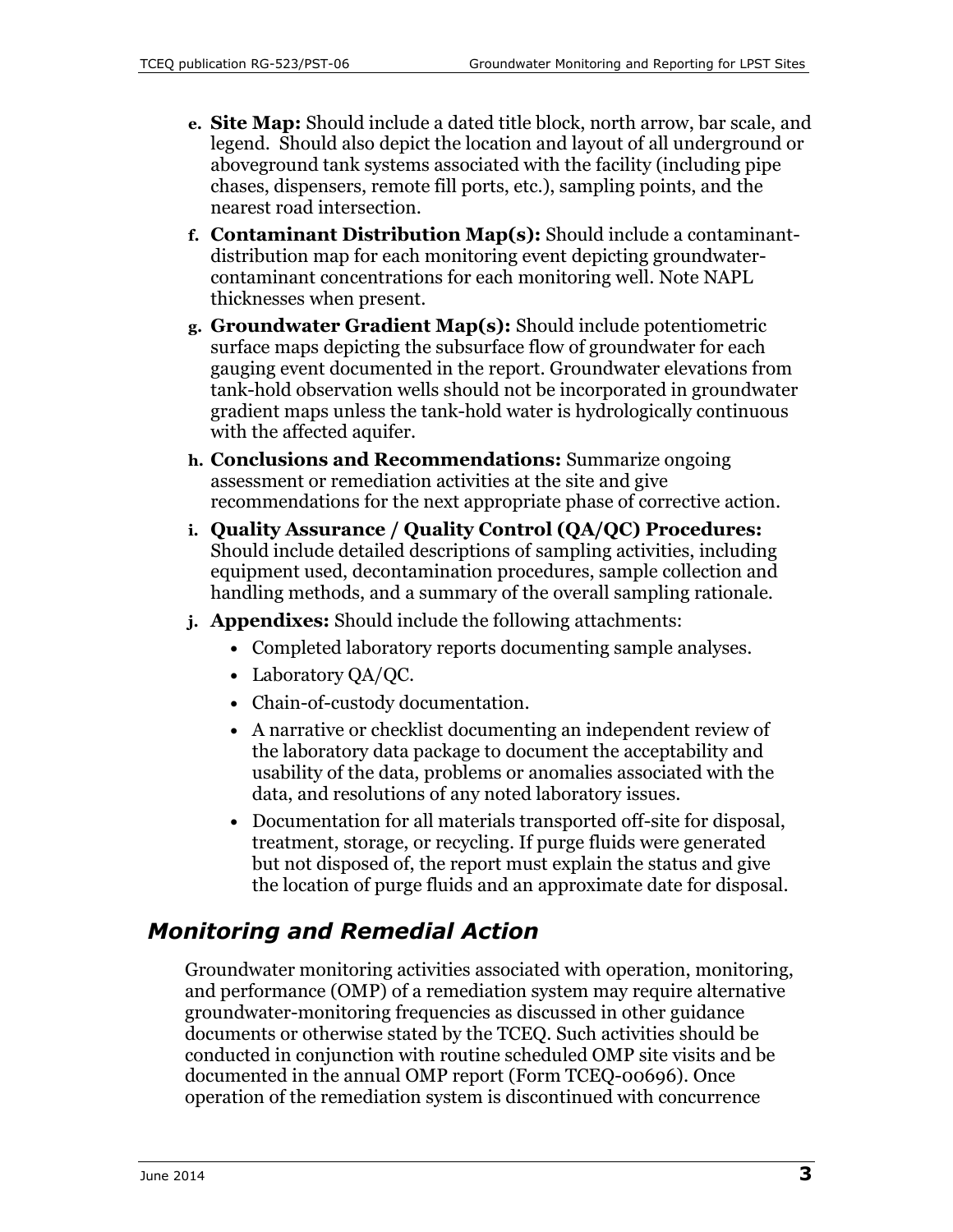- **e. Site Map:** Should include a dated title block, north arrow, bar scale, and legend. Should also depict the location and layout of all underground or aboveground tank systems associated with the facility (including pipe chases, dispensers, remote fill ports, etc.), sampling points, and the nearest road intersection.
- **f. Contaminant Distribution Map(s):** Should include a contaminantdistribution map for each monitoring event depicting groundwatercontaminant concentrations for each monitoring well. Note NAPL thicknesses when present.
- **g. Groundwater Gradient Map(s):** Should include potentiometric surface maps depicting the subsurface flow of groundwater for each gauging event documented in the report. Groundwater elevations from tank-hold observation wells should not be incorporated in groundwater gradient maps unless the tank-hold water is hydrologically continuous with the affected aquifer.
- **h. Conclusions and Recommendations:** Summarize ongoing assessment or remediation activities at the site and give recommendations for the next appropriate phase of corrective action.
- **i. Quality Assurance / Quality Control (QA/QC) Procedures:** Should include detailed descriptions of sampling activities, including equipment used, decontamination procedures, sample collection and handling methods, and a summary of the overall sampling rationale.
- **j. Appendixes:** Should include the following attachments:
	- Completed laboratory reports documenting sample analyses.
	- Laboratory QA/QC.
	- Chain-of-custody documentation.
	- A narrative or checklist documenting an independent review of the laboratory data package to document the acceptability and usability of the data, problems or anomalies associated with the data, and resolutions of any noted laboratory issues.
	- Documentation for all materials transported off-site for disposal, treatment, storage, or recycling. If purge fluids were generated but not disposed of, the report must explain the status and give the location of purge fluids and an approximate date for disposal.

### *Monitoring and Remedial Action*

Groundwater monitoring activities associated with operation, monitoring, and performance (OMP) of a remediation system may require alternative groundwater-monitoring frequencies as discussed in other guidance documents or otherwise stated by the TCEQ. Such activities should be conducted in conjunction with routine scheduled OMP site visits and be documented in the annual OMP report (Form TCEQ-00696). Once operation of the remediation system is discontinued with concurrence